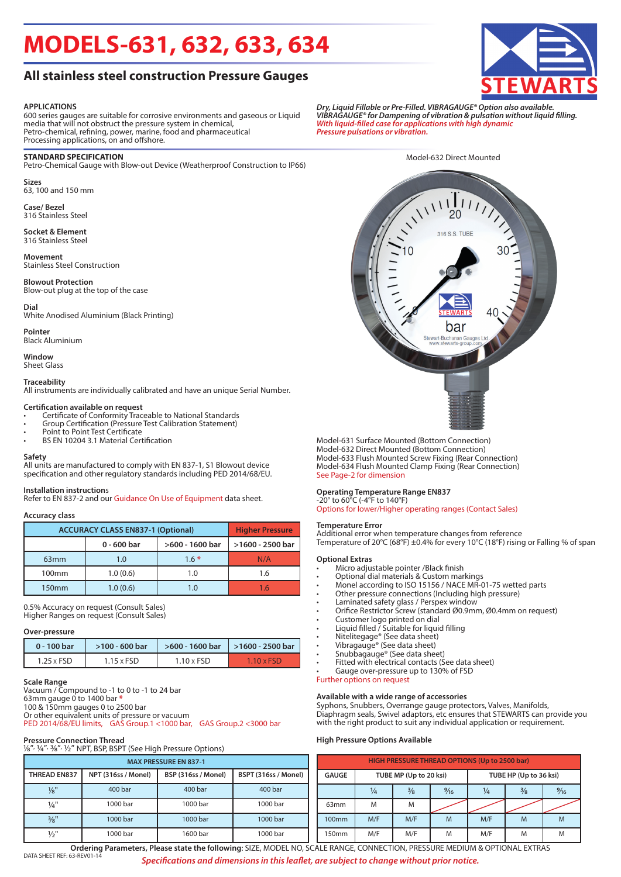# **MODELS-631, 632, 633, 634**

### **All stainless steel construction Pressure Gauges**

#### **APPLICATIONS**

600 series gauges are suitable for corrosive environments and gaseous or Liquid media that will not obstruct the pressure system in chemical, Petro-chemical, refining, power, marine, food and pharmaceutical Processing applications, on and offshore.

#### **STANDARD SPECIFICATION**

Petro-Chemical Gauge with Blow-out Device (Weatherproof Construction to IP66)

**Sizes** 63, 100 and 150 mm

**Case/ Bezel** 316 Stainless Steel

### **Socket & Element**

316 Stainless Steel

**Movement** Stainless Steel Construction

**Blowout Protection** Blow-out plug at the top of the case

**Dial** White Anodised Aluminium (Black Printing)

**Pointer** Black Aluminium

**Window** Sheet Glass

**Traceability**

All instruments are individually calibrated and have an unique Serial Number.

#### **Certification available on request**

- Certificate of Conformity Traceable to National Standards
- Group Certification (Pressure Test Calibration Statement)
- Point to Point Test Certificate
- BS EN 10204 3.1 Material Certification

#### **Safety**

All units are manufactured to comply with EN 837-1, S1 Blowout device specification and other regulatory standards including PED 2014/68/EU.

#### **Installation instruction**s

Refer to EN 837-2 and our Guidance On Use of Equipment data sheet.

#### **Accuracy class**

| <b>ACCURACY CLASS EN837-1 (Optional)</b> | <b>Higher Pressure</b> |                 |                  |  |  |
|------------------------------------------|------------------------|-----------------|------------------|--|--|
|                                          | 0 - 600 bar            | >600 - 1600 bar | >1600 - 2500 bar |  |  |
| 63 <sub>mm</sub>                         | 1.0                    | $1.6*$          | N/A              |  |  |
| 100 <sub>mm</sub>                        | 1.0(0.6)               | 1.0             | 1.6              |  |  |
| 150 <sub>mm</sub>                        | 1.0(0.6)               | 1.0             | 16               |  |  |

0.5% Accuracy on request (Consult Sales) Higher Ranges on request (Consult Sales)

#### **Over-pressure**

| 0 - 100 bar | $>100 - 600$ bar  |            | $>600 - 1600$ bar $\vert$ $>1600 - 2500$ bar |  |  |
|-------------|-------------------|------------|----------------------------------------------|--|--|
| 1.25 x FSD  | $1.15 \times FSD$ | 1.10 x FSD | $1.10 \times FSD$                            |  |  |

#### **Scale Range**

Vacuum / Compound to -1 to 0 to -1 to 24 bar 63mm gauge 0 to 1400 bar **\*** 100 & 150mm gauges 0 to 2500 bar Or other equivalent units of pressure or vacuum PED 2014/68/EU limits, GAS Group.1 <1000 bar, GAS Group.2 <3000 bar

| <b>Pressure Connection Thread</b><br>1/8", 1/4", 3/8", 1/2" NPT, BSP, BSPT (See High Pressure Options) |                                                                    |          |          |  |  |  |  |  |  |  |
|--------------------------------------------------------------------------------------------------------|--------------------------------------------------------------------|----------|----------|--|--|--|--|--|--|--|
| <b>MAX PRESSURE EN 837-1</b>                                                                           |                                                                    |          |          |  |  |  |  |  |  |  |
| <b>THREAD EN837</b>                                                                                    | BSPT (316ss / Monel)<br>NPT (316ss / Monel)<br>BSP (316ss / Monel) |          |          |  |  |  |  |  |  |  |
| $\frac{1}{8}$ "                                                                                        | 400 bar                                                            | 400 bar  | 400 bar  |  |  |  |  |  |  |  |
| $\frac{1}{4}$ "                                                                                        | 1000 bar                                                           | 1000 bar | 1000 bar |  |  |  |  |  |  |  |
| 3/8"                                                                                                   | 1000 bar                                                           | 1000 bar | 1000 bar |  |  |  |  |  |  |  |
| $\frac{1}{2}$ "                                                                                        | 1000 bar                                                           | 1600 bar | 1000 bar |  |  |  |  |  |  |  |

*Dry, Liquid Fillable or Pre-Filled. VIBRAGAUGE® Option also available. VIBRAGAUGE® for Dampening of vibration & pulsation without liquid filling. With liquid-filled case for applications with high dynamic Pressure pulsations or vibration.*

Model-632 Direct Mounted

 $\sqrt{111111}$ 316 S.S. TUBE bar

Model-631 Surface Mounted (Bottom Connection) Model-632 Direct Mounted (Bottom Connection) Model-633 Flush Mounted Screw Fixing (Rear Connection) Model-634 Flush Mounted Clamp Fixing (Rear Connection) See Page-2 for dimension

#### **Operating Temperature Range EN837**

-20° to 60°C (-4°F to 140°F) Options for lower/Higher operating ranges (Contact Sales)

#### **Temperature Error**

Additional error when temperature changes from reference Temperature of 20°C (68°F) ±0.4% for every 10°C (18°F) rising or Falling % of span

#### **Optional Extras**

- Micro adjustable pointer /Black finish
- Optional dial materials & Custom markings
- Monel according to ISO 15156 / NACE MR-01-75 wetted parts
- Other pressure connections (Including high pressure)
- Laminated safety glass / Perspex window
- Orifice Restrictor Screw (standard Ø0.9mm, Ø0.4mm on request)
- Customer logo printed on dial
- Liquid filled / Suitable for liquid filling
- Nitelitegage® (See data sheet)
- Vibragauge® (See data sheet)
- Snubbagauge® (See data sheet)
- Fitted with electrical contacts (See data sheet)
- Gauge over-pressure up to 130% of FSD

#### Further options on request

#### **Available with a wide range of accessories**

Syphons, Snubbers, Overrange gauge protectors, Valves, Manifolds, Diaphragm seals, Swivel adaptors, etc ensures that STEWARTS can provide you with the right product to suit any individual application or requirement.

#### **High Pressure Options Available**

| <b>HIGH PRESSURE THREAD OPTIONS (Up to 2500 bar)</b> |               |                        |                |                        |               |                |  |  |  |  |
|------------------------------------------------------|---------------|------------------------|----------------|------------------------|---------------|----------------|--|--|--|--|
| <b>GAUGE</b>                                         |               | TUBE MP (Up to 20 ksi) |                | TUBE HP (Up to 36 ksi) |               |                |  |  |  |  |
|                                                      | $\frac{1}{4}$ | $\frac{3}{8}$          | $\frac{9}{16}$ | ¼                      | $\frac{3}{8}$ | $\frac{9}{16}$ |  |  |  |  |
| 63mm                                                 | M             | M                      |                |                        |               |                |  |  |  |  |
| 100 <sub>mm</sub>                                    | M/F           | M/F                    | M              | M/F                    | M             | M              |  |  |  |  |
| 150mm                                                | M/F           | M/F                    | M              | M/F                    | M             | M              |  |  |  |  |